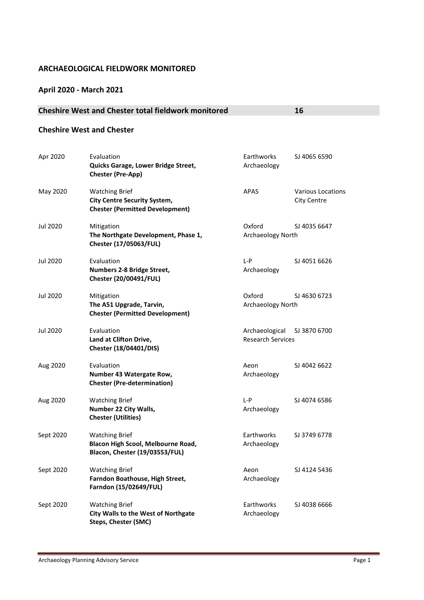#### **ARCHAEOLOGICAL FIELDWORK MONITORED**

#### **April 2020 - March 2021**

### **Cheshire West and Chester total fieldwork monitored 16**

#### **Cheshire West and Chester**

| Apr 2020  | Evaluation<br>Quicks Garage, Lower Bridge Street,<br><b>Chester (Pre-App)</b>                          | Earthworks<br>Archaeology                  | SJ 4065 6590                            |
|-----------|--------------------------------------------------------------------------------------------------------|--------------------------------------------|-----------------------------------------|
| May 2020  | <b>Watching Brief</b><br><b>City Centre Security System,</b><br><b>Chester (Permitted Development)</b> | APAS                                       | <b>Various Locations</b><br>City Centre |
| Jul 2020  | Mitigation<br>The Northgate Development, Phase 1,<br>Chester (17/05063/FUL)                            | Oxford<br>Archaeology North                | SJ 4035 6647                            |
| Jul 2020  | Evaluation<br>Numbers 2-8 Bridge Street,<br><b>Chester (20/00491/FUL)</b>                              | $L - P$<br>Archaeology                     | SJ 4051 6626                            |
| Jul 2020  | Mitigation<br>The A51 Upgrade, Tarvin,<br><b>Chester (Permitted Development)</b>                       | Oxford<br>Archaeology North                | SJ 4630 6723                            |
| Jul 2020  | Evaluation<br>Land at Clifton Drive,<br>Chester (18/04401/DIS)                                         | Archaeological<br><b>Research Services</b> | SJ 3870 6700                            |
| Aug 2020  | Evaluation<br>Number 43 Watergate Row,<br><b>Chester (Pre-determination)</b>                           | Aeon<br>Archaeology                        | SJ 4042 6622                            |
| Aug 2020  | <b>Watching Brief</b><br>Number 22 City Walls,<br><b>Chester (Utilities)</b>                           | L-P<br>Archaeology                         | SJ 4074 6586                            |
| Sept 2020 | <b>Watching Brief</b><br>Blacon High Scool, Melbourne Road,<br>Blacon, Chester (19/03553/FUL)          | Earthworks<br>Archaeology                  | SJ 3749 6778                            |
| Sept 2020 | <b>Watching Brief</b><br>Farndon Boathouse, High Street,<br>Farndon (15/02649/FUL)                     | Aeon<br>Archaeology                        | SJ 4124 5436                            |
| Sept 2020 | <b>Watching Brief</b><br><b>City Walls to the West of Northgate</b><br><b>Steps, Chester (SMC)</b>     | Earthworks<br>Archaeology                  | SJ 4038 6666                            |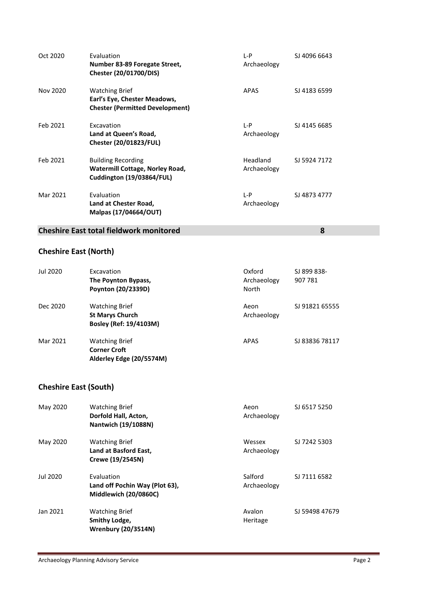| Oct 2020 | Evaluation<br>Number 83-89 Foregate Street,<br>Chester (20/01700/DIS)                           | L-P<br>Archaeology      | SJ 4096 6643 |
|----------|-------------------------------------------------------------------------------------------------|-------------------------|--------------|
| Nov 2020 | <b>Watching Brief</b><br>Earl's Eye, Chester Meadows,<br><b>Chester (Permitted Development)</b> | <b>APAS</b>             | SJ 4183 6599 |
| Feb 2021 | Excavation<br>Land at Queen's Road,<br><b>Chester (20/01823/FUL)</b>                            | L-P<br>Archaeology      | SJ 4145 6685 |
| Feb 2021 | <b>Building Recording</b><br>Watermill Cottage, Norley Road,<br>Cuddington (19/03864/FUL)       | Headland<br>Archaeology | SJ 5924 7172 |
| Mar 2021 | Evaluation<br>Land at Chester Road,<br>Malpas (17/04664/OUT)                                    | $L-P$<br>Archaeology    | SJ 4873 4777 |

#### **Cheshire East total fieldwork monitored 8**

## **Cheshire East (North)**

| Jul 2020 | Excavation<br>The Poynton Bypass,<br>Poynton (20/2339D)                   | Oxford<br>Archaeology<br>North | SJ 899 838-<br>907 781 |
|----------|---------------------------------------------------------------------------|--------------------------------|------------------------|
| Dec 2020 | <b>Watching Brief</b><br><b>St Marys Church</b><br>Bosley (Ref: 19/4103M) | Aeon<br>Archaeology            | SJ 91821 65555         |
| Mar 2021 | <b>Watching Brief</b><br><b>Corner Croft</b><br>Alderley Edge (20/5574M)  | APAS                           | SJ 83836 78117         |

# **Cheshire East (South)**

| May 2020 | <b>Watching Brief</b><br>Dorfold Hall, Acton,<br>Nantwich (19/1088N)         | Aeon<br>Archaeology    | SJ 6517 5250   |
|----------|------------------------------------------------------------------------------|------------------------|----------------|
| May 2020 | <b>Watching Brief</b><br>Land at Basford East,<br>Crewe (19/2545N)           | Wessex<br>Archaeology  | SJ 7242 5303   |
| Jul 2020 | Evaluation<br>Land off Pochin Way (Plot 63),<br><b>Middlewich (20/0860C)</b> | Salford<br>Archaeology | SJ 7111 6582   |
| Jan 2021 | <b>Watching Brief</b><br>Smithy Lodge,<br><b>Wrenbury (20/3514N)</b>         | Avalon<br>Heritage     | SJ 59498 47679 |